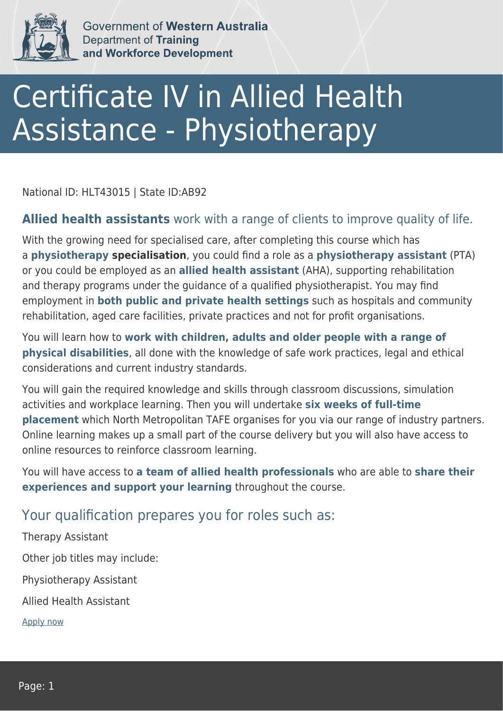

Government of Western Australia Department of Training and Workforce Development

## Certificate IV in Allied Health Assistance - Physiotherapy

National ID: HLT43015 | State ID:AB92

## **Allied health assistants** work with a range of clients to improve quality of life.

With the growing need for specialised care, after completing this course which has a **physiotherapy specialisation**, you could find a role as a **physiotherapy assistant** (PTA) or you could be employed as an **allied health assistant** (AHA), supporting rehabilitation and therapy programs under the guidance of a qualified physiotherapist. You may find employment in **both public and private health settings** such as hospitals and community rehabilitation, aged care facilities, private practices and not for profit organisations.

You will learn how to **work with children, adults and older people with a range of physical disabilities**, all done with the knowledge of safe work practices, legal and ethical considerations and current industry standards.

You will gain the required knowledge and skills through classroom discussions, simulation activities and workplace learning. Then you will undertake **six weeks of full-time placement** which North Metropolitan TAFE organises for you via our range of industry partners. Online learning makes up a small part of the course delivery but you will also have access to online resources to reinforce classroom learning.

You will have access to **a team of allied health professionals** who are able to **share their experiences and support your learning** throughout the course.

## Your qualification prepares you for roles such as:

Therapy Assistant Other job titles may include: Physiotherapy Assistant Allied Health Assistant